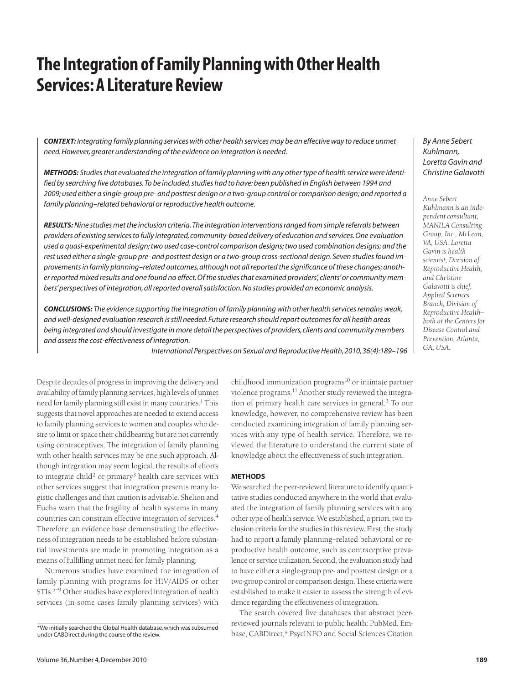# **The Integration of Family Planning with Other Health Services: A Literature Review**

*CONTEXT: Integrating family planning services with other health services may be an effective way to reduce unmet need. However, greater understanding of the evidence on integration is needed.*

*METHODS: Studies that evaluated the integration of family planning with any other type of health service were identified by searching five databases. To be included, studies had to have: been published in English between 1994 and 2009; used either a single-group pre- and posttest design or a two-group control or comparison design; and reported a family planning–related behavioral or reproductive health outcome.*

*RESULTS:Nine studies met the inclusion criteria. The integration interventions ranged from simple referrals between providers of existing services to fully integrated, community-based delivery of education and services. One evaluation used a quasi-experimental design; two used case-control comparison designs; two used combination designs; and the rest used either a single-group pre- and posttest design or a two-group cross-sectional design. Seven studies found improvements in family planning–related outcomes, although not all reported the significance of these changes; another reported mixed results and one found no effect. Of the studies that examined providers', clients' or community members' perspectives of integration, all reported overall satisfaction. No studies provided an economic analysis.*

*CONCLUSIONS: The evidence supporting the integration of family planning with other health services remains weak, and well-designed evaluation research is still needed. Future research should report outcomes for all health areas being integrated and should investigate in more detail the perspectives of providers, clients and community members and assess the cost-effectiveness of integration.*

*International Perspectives on Sexual and Reproductive Health, 2010, 36(4):189–196*

Despite decades of progress in improving the delivery and availability of family planning services, high levels of unmet need for family planning still exist in many countries.<sup>1</sup> This suggests that novel approaches are needed to extend access to family planning services to women and couples who desire to limit or space their childbearing but are not currently using contraceptives. The integration of family planning with other health services may be one such approach. Although integration may seem logical, the results of efforts to integrate child<sup>2</sup> or primary<sup>3</sup> health care services with other services suggest that integration presents many logistic challenges and that caution is advisable. Shelton and Fuchs warn that the fragility of health systems in many countries can constrain effective integration of services.<sup>4</sup> Therefore, an evidence base demonstrating the effectiveness of integration needs to be established before substantial investments are made in promoting integration as a means of fulfilling unmet need for family planning.

Numerous studies have examined the integration of family planning with programs for HIV/AIDS or other STIs.5–9 Other studies have explored integration of health services (in some cases family planning services) with childhood immunization programs $10$  or intimate partner violence programs.<sup>11</sup> Another study reviewed the integration of primary health care services in general.<sup>3</sup> To our knowledge, however, no comprehensive review has been conducted examining integration of family planning services with any type of health service. Therefore, we reviewed the literature to understand the current state of knowledge about the effectiveness of such integration.

#### **METHODS**

We searched the peer-reviewed literature to identify quantitative studies conducted anywhere in the world that evaluated the integration of family planning services with any other type of health service. We established, a priori, two inclusion criteria for the studies in this review. First, the study had to report a family planning–related behavioral or reproductive health outcome, such as contraceptive prevalence or service utilization. Second, the evaluation study had to have either a single-group pre- and posttest design or a two-group control or comparison design. These criteria were established to make it easier to assess the strength of evidence regarding the effectiveness of integration.

The search covered five databases that abstract peerreviewed journals relevant to public health: PubMed, Embase, CABDirect,\* PsycINFO and Social Sciences Citation

# *By Anne Sebert Kuhlmann, Loretta Gavin and Christine Galavotti*

*Anne Sebert Kuhlmann is an independent consultant, MANILA Consulting Group, Inc., McLean, VA, USA. Loretta Gavin is health scientist, Division of Reproductive Health, and Christine Galavotti is chief, Applied Sciences Branch, Division of Reproductive Health both at the Centers for Disease Control and Prevention, Atlanta, GA, USA.*

<sup>\*</sup>We initially searched the Global Health database, which was subsumed under CABDirect during the course of the review.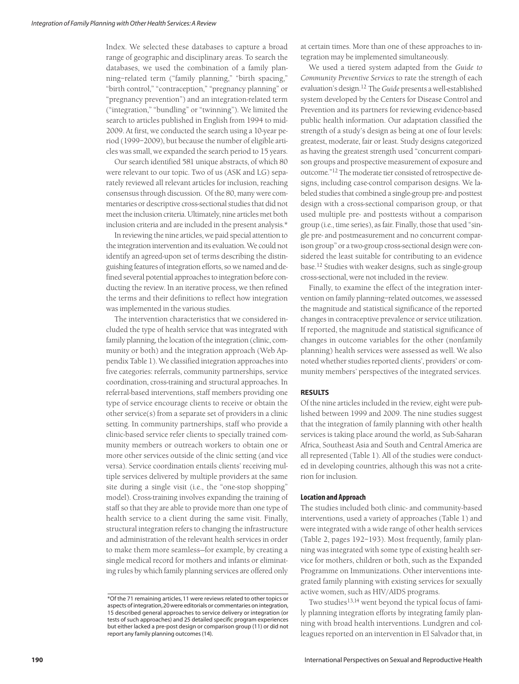Index. We selected these databases to capture a broad range of geographic and disciplinary areas. To search the databases, we used the combination of a family planning–related term ("family planning," "birth spacing," "birth control," "contraception," "pregnancy planning" or "pregnancy prevention") and an integration-related term ("integration," "bundling" or "twinning"). We limited the search to articles published in English from 1994 to mid-2009. At first, we conducted the search using a 10-year period (1999–2009), but because the number of eligible articles was small, we expanded the search period to 15 years.

Our search identified 581 unique abstracts, of which 80 were relevant to our topic. Two of us (ASK and LG) separately reviewed all relevant articles for inclusion, reaching consensus through discussion. Of the 80, many were commentaries or descriptive cross-sectional studies that did not meet the inclusion criteria. Ultimately, nine articles met both inclusion criteria and are included in the present analysis.\*

In reviewing the nine articles, we paid special attention to the integration intervention and its evaluation. We could not identify an agreed-upon set of terms describing the distinguishing features of integration efforts, so we named and defined several potential approaches to integration before conducting the review. In an iterative process, we then refined the terms and their definitions to reflect how integration was implemented in the various studies.

The intervention characteristics that we considered included the type of health service that was integrated with family planning, the location of the integration (clinic, community or both) and the integration approach (Web Appendix Table 1). We classified integration approaches into five categories: referrals, community partnerships, service coordination, cross-training and structural approaches. In referral-based interventions, staff members providing one type of service encourage clients to receive or obtain the other service(s) from a separate set of providers in a clinic setting. In community partnerships, staff who provide a clinic-based service refer clients to specially trained community members or outreach workers to obtain one or more other services outside of the clinic setting (and vice versa). Service coordination entails clients' receiving multiple services delivered by multiple providers at the same site during a single visit (i.e., the "one-stop shopping" model). Cross-training involves expanding the training of staff so that they are able to provide more than one type of health service to a client during the same visit. Finally, structural integration refers to changing the infrastructure and administration of the relevant health services in order to make them more seamless—for example, by creating a single medical record for mothers and infants or eliminating rules by which family planning services are offered only at certain times. More than one of these approaches to integration may be implemented simultaneously.

We used a tiered system adapted from the *Guide to Community Preventive Services* to rate the strength of each evaluation's design.12 The *Guide* presents a well-established system developed by the Centers for Disease Control and Prevention and its partners for reviewing evidence-based public health information. Our adaptation classified the strength of a study's design as being at one of four levels: greatest, moderate, fair or least. Study designs categorized as having the greatest strength used "concurrent comparison groups and prospective measurement of exposure and outcome."12 The moderate tier consisted of retrospective designs, including case-control comparison designs. We labeled studies that combined a single-group pre- and posttest design with a cross-sectional comparison group, or that used multiple pre- and posttests without a comparison group (i.e., time series), as fair. Finally, those that used "single pre- and postmeasurement and no concurrent comparison group" or a two-group cross-sectional design were considered the least suitable for contributing to an evidence base.12 Studies with weaker designs, such as single-group cross-sectional, were not included in the review.

Finally, to examine the effect of the integration intervention on family planning–related outcomes, we assessed the magnitude and statistical significance of the reported changes in contraceptive prevalence or service utilization. If reported, the magnitude and statistical significance of changes in outcome variables for the other (nonfamily planning) health services were assessed as well. We also noted whether studies reported clients', providers' or community members' perspectives of the integrated services.

## **RESULTS**

Of the nine articles included in the review, eight were published between 1999 and 2009. The nine studies suggest that the integration of family planning with other health services is taking place around the world, as Sub-Saharan Africa, Southeast Asia and South and Central America are all represented (Table 1). All of the studies were conducted in developing countries, although this was not a criterion for inclusion.

## **Location and Approach**

The studies included both clinic- and community-based interventions, used a variety of approaches (Table 1) and were integrated with a wide range of other health services (Table 2, pages 192–193). Most frequently, family planning was integrated with some type of existing health service for mothers, children or both, such as the Expanded Programme on Immunizations. Other interventions integrated family planning with existing services for sexually active women, such as HIV/AIDS programs.

Two studies<sup>13,14</sup> went beyond the typical focus of family planning integration efforts by integrating family planning with broad health interventions. Lundgren and colleagues reported on an intervention in El Salvador that, in

<sup>\*</sup>Of the 71 remaining articles, 11 were reviews related to other topics or aspects of integration,20 were editorials or commentaries on integration, 15 described general approaches to service delivery or integration (or tests of such approaches) and 25 detailed specific program experiences but either lacked a pre-post design or comparison group (11) or did not report any family planning outcomes (14).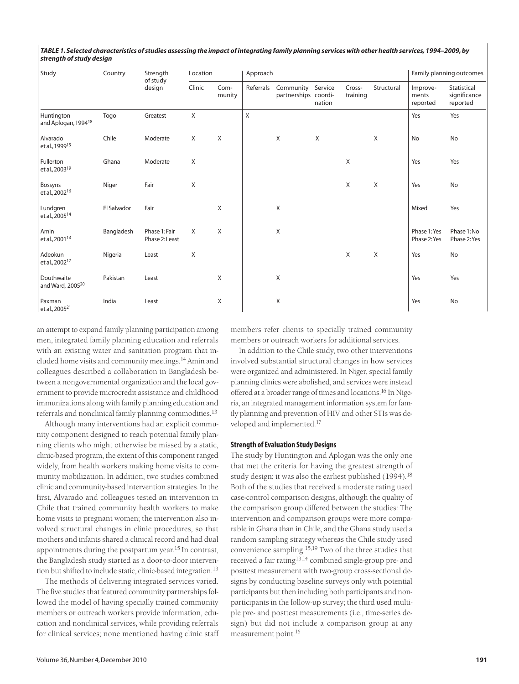| TABLE 1. Selected characteristics of studies assessing the impact of integrating family planning services with other health services, 1994-2009, by |  |
|-----------------------------------------------------------------------------------------------------------------------------------------------------|--|
| strength of study design                                                                                                                            |  |

| Study                                         | Country     | Strength<br>of study<br>design  | Location     |                | Approach  |                                           |        |                    | Family planning outcomes |                               |                                         |
|-----------------------------------------------|-------------|---------------------------------|--------------|----------------|-----------|-------------------------------------------|--------|--------------------|--------------------------|-------------------------------|-----------------------------------------|
|                                               |             |                                 | Clinic       | Com-<br>munity | Referrals | Community Service<br>partnerships coordi- | nation | Cross-<br>training | Structural               | Improve-<br>ments<br>reported | Statistical<br>significance<br>reported |
| Huntington<br>and Aplogan, 1994 <sup>18</sup> | Togo        | Greatest                        | $\mathsf{X}$ |                | X         |                                           |        |                    |                          | Yes                           | Yes                                     |
| Alvarado<br>et al., 1999 <sup>15</sup>        | Chile       | Moderate                        | X            | Χ              |           | X                                         | X      |                    | X                        | No                            | No                                      |
| Fullerton<br>et al., 2003 <sup>19</sup>       | Ghana       | Moderate                        | X            |                |           |                                           |        | X                  |                          | Yes                           | Yes                                     |
| Bossyns<br>et al., 2002 <sup>16</sup>         | Niger       | Fair                            | X            |                |           |                                           |        | X                  | Χ                        | Yes                           | No                                      |
| Lundgren<br>et al., 2005 <sup>14</sup>        | El Salvador | Fair                            |              | Χ              |           | Χ                                         |        |                    |                          | Mixed                         | Yes                                     |
| Amin<br>et al., 2001 <sup>13</sup>            | Bangladesh  | Phase 1: Fair<br>Phase 2: Least | X            | X              |           | Χ                                         |        |                    |                          | Phase 1: Yes<br>Phase 2: Yes  | Phase 1:No<br>Phase 2: Yes              |
| Adeokun<br>et al., 2002 <sup>17</sup>         | Nigeria     | Least                           | X            |                |           |                                           |        | X                  | X                        | Yes                           | No                                      |
| Douthwaite<br>and Ward, 2005 <sup>20</sup>    | Pakistan    | Least                           |              | X              |           | Χ                                         |        |                    |                          | Yes                           | Yes                                     |
| Paxman<br>et al., 2005 <sup>21</sup>          | India       | Least                           |              | Χ              |           | Χ                                         |        |                    |                          | Yes                           | No                                      |

an attempt to expand family planning participation among men, integrated family planning education and referrals with an existing water and sanitation program that included home visits and community meetings.14 Amin and colleagues described a collaboration in Bangladesh between a nongovernmental organization and the local government to provide microcredit assistance and childhood immunizations along with family planning education and referrals and nonclinical family planning commodities.<sup>13</sup>

Although many interventions had an explicit community component designed to reach potential family planning clients who might otherwise be missed by a static, clinic-based program, the extent of this component ranged widely, from health workers making home visits to community mobilization. In addition, two studies combined clinic and community-based intervention strategies. In the first, Alvarado and colleagues tested an intervention in Chile that trained community health workers to make home visits to pregnant women; the intervention also involved structural changes in clinic procedures, so that mothers and infants shared a clinical record and had dual appointments during the postpartum year.<sup>15</sup> In contrast, the Bangladesh study started as a door-to-door intervention but shifted to include static, clinic-based integration.13

The methods of delivering integrated services varied. The five studies that featured community partnerships followed the model of having specially trained community members or outreach workers provide information, education and nonclinical services, while providing referrals for clinical services; none mentioned having clinic staff

members refer clients to specially trained community members or outreach workers for additional services.

In addition to the Chile study, two other interventions involved substantial structural changes in how services were organized and administered. In Niger, special family planning clinics were abolished, and services were instead offered at a broader range of times and locations.16 In Nigeria, an integrated management information system for family planning and prevention of HIV and other STIs was developed and implemented.17

## **Strength of Evaluation Study Designs**

The study by Huntington and Aplogan was the only one that met the criteria for having the greatest strength of study design; it was also the earliest published (1994).<sup>18</sup> Both of the studies that received a moderate rating used case-control comparison designs, although the quality of the comparison group differed between the studies: The intervention and comparison groups were more comparable in Ghana than in Chile, and the Ghana study used a random sampling strategy whereas the Chile study used convenience sampling.15,19 Two of the three studies that received a fair rating13,14 combined single-group pre- and posttest measurement with two-group cross-sectional designs by conducting baseline surveys only with potential participants but then including both participants and nonparticipants in the follow-up survey; the third used multiple pre- and posttest measurements (i.e., time-series design) but did not include a comparison group at any measurement point.16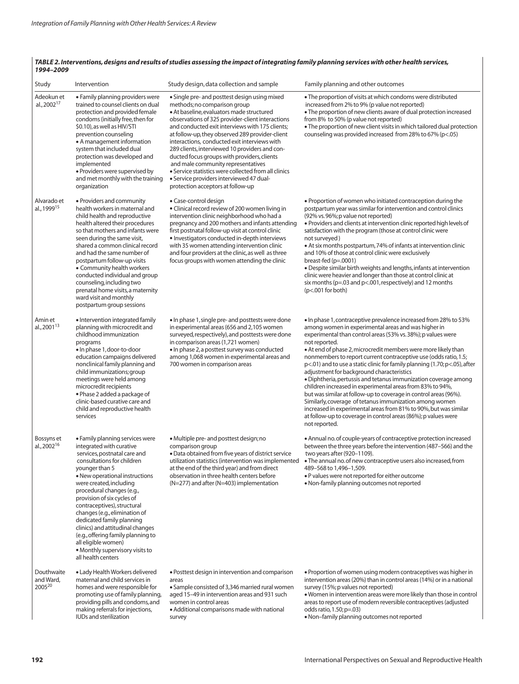| Study                                  | Intervention                                                                                                                                                                                                                                                                                                                                                                                                                                                                                                               | Study design, data collection and sample                                                                                                                                                                                                                                                                                                                                                                                                                                                                                                                                                                             | Family planning and other outcomes                                                                                                                                                                                                                                                                                                                                                                                                                                                                                                                                                                                                                                                                                                                                                                                                                                                              |  |  |  |
|----------------------------------------|----------------------------------------------------------------------------------------------------------------------------------------------------------------------------------------------------------------------------------------------------------------------------------------------------------------------------------------------------------------------------------------------------------------------------------------------------------------------------------------------------------------------------|----------------------------------------------------------------------------------------------------------------------------------------------------------------------------------------------------------------------------------------------------------------------------------------------------------------------------------------------------------------------------------------------------------------------------------------------------------------------------------------------------------------------------------------------------------------------------------------------------------------------|-------------------------------------------------------------------------------------------------------------------------------------------------------------------------------------------------------------------------------------------------------------------------------------------------------------------------------------------------------------------------------------------------------------------------------------------------------------------------------------------------------------------------------------------------------------------------------------------------------------------------------------------------------------------------------------------------------------------------------------------------------------------------------------------------------------------------------------------------------------------------------------------------|--|--|--|
| Adeokun et<br>al., 2002 <sup>17</sup>  | · Family planning providers were<br>trained to counsel clients on dual<br>protection and provided female<br>condoms (initially free, then for<br>\$0.10), as well as HIV/STI<br>prevention counseling<br>• A management information<br>system that included dual<br>protection was developed and<br>implemented<br>• Providers were supervised by<br>and met monthly with the training<br>organization                                                                                                                     | • Single pre- and posttest design using mixed<br>methods; no comparison group<br>• At baseline, evaluators made structured<br>observations of 325 provider-client interactions<br>and conducted exit interviews with 175 clients;<br>at follow-up, they observed 289 provider-client<br>interactions, conducted exit interviews with<br>289 clients, interviewed 10 providers and con-<br>ducted focus groups with providers, clients<br>and male community representatives<br>• Service statistics were collected from all clinics<br>• Service providers interviewed 47 dual-<br>protection acceptors at follow-up | • The proportion of visits at which condoms were distributed<br>increased from 2% to 9% (p value not reported)<br>• The proportion of new clients aware of dual protection increased<br>from 8% to 50% (p value not reported)<br>. The proportion of new client visits in which tailored dual protection<br>counseling was provided increased from 28% to 67% (p<.05)                                                                                                                                                                                                                                                                                                                                                                                                                                                                                                                           |  |  |  |
| Alvarado et<br>al., 1999 <sup>15</sup> | • Providers and community<br>health workers in maternal and<br>child health and reproductive<br>health altered their procedures<br>so that mothers and infants were<br>seen during the same visit,<br>shared a common clinical record<br>and had the same number of<br>postpartum follow-up visits<br>• Community health workers<br>conducted individual and group<br>counseling, including two<br>prenatal home visits, a maternity<br>ward visit and monthly<br>postpartum group sessions                                | • Case-control design<br>• Clinical record review of 200 women living in<br>intervention clinic neighborhood who had a<br>pregnancy and 200 mothers and infants attending<br>first postnatal follow-up visit at control clinic<br>· Investigators conducted in-depth interviews<br>with 35 women attending intervention clinic<br>and four providers at the clinic, as well as three<br>focus groups with women attending the clinic                                                                                                                                                                                 | . Proportion of women who initiated contraception during the<br>postpartum year was similar for intervention and control clinics<br>(92% vs. 96%; p value not reported)<br>• Providers and clients at intervention clinic reported high levels of<br>satisfaction with the program (those at control clinic were<br>not surveyed)<br>• At six months postpartum, 74% of infants at intervention clinic<br>and 10% of those at control clinic were exclusively<br>breast-fed $(p=.0001)$<br>. Despite similar birth weights and lengths, infants at intervention<br>clinic were heavier and longer than those at control clinic at<br>six months ( $p=.03$ and $p<.001$ , respectively) and 12 months<br>$(p<.001$ for both)                                                                                                                                                                     |  |  |  |
| Amin et<br>al., 2001 <sup>13</sup>     | • Intervention integrated family<br>planning with microcredit and<br>childhood immunization<br>programs<br>• In phase 1, door-to-door<br>education campaigns delivered<br>nonclinical family planning and<br>child immunizations; group<br>meetings were held among<br>microcredit recipients<br>• Phase 2 added a package of<br>clinic-based curative care and<br>child and reproductive health<br>services                                                                                                               | . In phase 1, single pre- and posttests were done<br>in experimental areas (656 and 2,105 women<br>surveyed, respectively), and posttests were done<br>in comparison areas (1,721 women)<br>• In phase 2, a posttest survey was conducted<br>among 1,068 women in experimental areas and<br>700 women in comparison areas                                                                                                                                                                                                                                                                                            | . In phase 1, contraceptive prevalence increased from 28% to 53%<br>among women in experimental areas and was higher in<br>experimental than control areas (53% vs. 38%); p values were<br>not reported.<br>• At end of phase 2, microcredit members were more likely than<br>nonmembers to report current contraceptive use (odds ratio, 1.5;<br>p<.01) and to use a static clinic for family planning (1.70; p<.05), after<br>adjustment for background characteristics<br>· Diphtheria, pertussis and tetanus immunization coverage among<br>children increased in experimental areas from 83% to 94%,<br>but was similar at follow-up to coverage in control areas (96%).<br>Similarly, coverage of tetanus immunization among women<br>increased in experimental areas from 81% to 90%, but was similar<br>at follow-up to coverage in control areas (86%); p values were<br>not reported. |  |  |  |
| Bossyns et<br>al., 2002 <sup>16</sup>  | • Family planning services were<br>integrated with curative<br>services, postnatal care and<br>consultations for children<br>younger than 5<br>• New operational instructions<br>were created, including<br>procedural changes (e.g.,<br>provision of six cycles of<br>contraceptives), structural<br>changes (e.g., elimination of<br>dedicated family planning<br>clinics) and attitudinal changes<br>(e.g., offering family planning to<br>all eligible women)<br>· Monthly supervisory visits to<br>all health centers | • Multiple pre- and posttest design; no<br>comparison group<br>• Data obtained from five years of district service<br>utilization statistics (intervention was implemented<br>at the end of the third year) and from direct<br>observation in three health centers before<br>$(N=277)$ and after $(N=403)$ implementation                                                                                                                                                                                                                                                                                            | • Annual no. of couple-years of contraceptive protection increased<br>between the three years before the intervention (487-566) and the<br>two years after (920-1109).<br>. The annual no. of new contraceptive users also increased, from<br>489-568 to 1,496-1,509.<br>. P values were not reported for either outcome<br>. Non-family planning outcomes not reported                                                                                                                                                                                                                                                                                                                                                                                                                                                                                                                         |  |  |  |
| Douthwaite<br>and Ward,<br>200520      | • Lady Health Workers delivered<br>maternal and child services in<br>homes and were responsible for<br>promoting use of family planning,<br>providing pills and condoms, and<br>making referrals for injections,<br>IUDs and sterilization                                                                                                                                                                                                                                                                                 | • Posttest design in intervention and comparison<br>areas<br>• Sample consisted of 3,346 married rural women<br>aged 15-49 in intervention areas and 931 such<br>women in control areas<br>• Additional comparisons made with national<br>survey                                                                                                                                                                                                                                                                                                                                                                     | • Proportion of women using modern contraceptives was higher in<br>intervention areas (20%) than in control areas (14%) or in a national<br>survey (15%; p values not reported)<br>. Women in intervention areas were more likely than those in control<br>areas to report use of modern reversible contraceptives (adjusted<br>odds ratio, 1.50; p=.03)<br>. Non-family planning outcomes not reported                                                                                                                                                                                                                                                                                                                                                                                                                                                                                         |  |  |  |

#### *TABLE 2. Interventions, designs and results of studies assessing the impact of integrating family planning services with other health services, 1994–2009*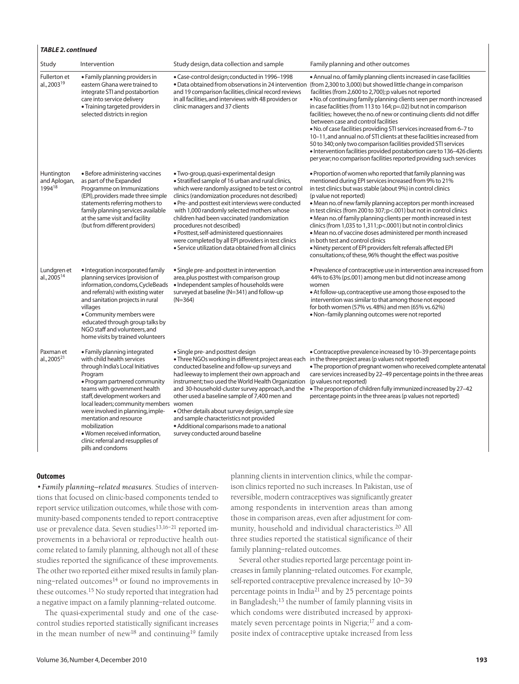| Study                                          | Intervention                                                                                                                                                                                                                                                                                                                                                                                                                | Study design, data collection and sample                                                                                                                                                                                                                                                                                                                                                                                                                                                                                                                                                              | Family planning and other outcomes                                                                                                                                                                                                                                                                                                                                                                                                                                                                                                                                                                                                                                                                                                                                                                                                       |
|------------------------------------------------|-----------------------------------------------------------------------------------------------------------------------------------------------------------------------------------------------------------------------------------------------------------------------------------------------------------------------------------------------------------------------------------------------------------------------------|-------------------------------------------------------------------------------------------------------------------------------------------------------------------------------------------------------------------------------------------------------------------------------------------------------------------------------------------------------------------------------------------------------------------------------------------------------------------------------------------------------------------------------------------------------------------------------------------------------|------------------------------------------------------------------------------------------------------------------------------------------------------------------------------------------------------------------------------------------------------------------------------------------------------------------------------------------------------------------------------------------------------------------------------------------------------------------------------------------------------------------------------------------------------------------------------------------------------------------------------------------------------------------------------------------------------------------------------------------------------------------------------------------------------------------------------------------|
| <b>Fullerton</b> et<br>al., 2003 <sup>19</sup> | • Family planning providers in<br>eastern Ghana were trained to<br>integrate STI and postabortion<br>care into service delivery<br>• Training targeted providers in<br>selected districts in region                                                                                                                                                                                                                         | · Case-control design; conducted in 1996-1998<br>• Data obtained from observations in 24 intervention<br>and 19 comparison facilities, clinical record reviews<br>in all facilities, and interviews with 48 providers or<br>clinic managers and 37 clients                                                                                                                                                                                                                                                                                                                                            | • Annual no. of family planning clients increased in case facilities<br>(from 2,300 to 3,000) but showed little change in comparison<br>facilities (from 2,600 to 2,700); p values not reported<br>. No. of continuing family planning clients seen per month increased<br>in case facilities (from 113 to 164; p=.02) but not in comparison<br>facilities; however, the no. of new or continuing clients did not differ<br>between case and control facilities<br>. No. of case facilities providing STI services increased from 6-7 to<br>10-11, and annual no. of STI clients at these facilities increased from<br>50 to 340; only two comparison facilities provided STI services<br>· Intervention facilities provided postabortion care to 136-426 clients<br>per year; no comparison facilities reported providing such services |
| Huntington<br>and Aplogan,<br>199418           | • Before administering vaccines<br>as part of the Expanded<br>Programme on Immunizations<br>(EPI), providers made three simple<br>statements referring mothers to<br>family planning services available<br>at the same visit and facility<br>(but from different providers)                                                                                                                                                 | · Two-group, quasi-experimental design<br>· Stratified sample of 16 urban and rural clinics,<br>which were randomly assigned to be test or control<br>clinics (randomization procedures not described)<br>· Pre- and posttest exit interviews were conducted<br>with 1,000 randomly selected mothers whose<br>children had been vaccinated (randomization<br>procedures not described)<br>· Posttest, self-administered questionnaires<br>were completed by all EPI providers in test clinics<br>· Service utilization data obtained from all clinics                                                 | . Proportion of women who reported that family planning was<br>mentioned during EPI services increased from 9% to 21%<br>in test clinics but was stable (about 9%) in control clinics<br>(p value not reported)<br>• Mean no. of new family planning acceptors per month increased<br>in test clinics (from 200 to 307; p<.001) but not in control clinics<br>· Mean no. of family planning clients per month increased in test<br>clinics (from 1,035 to 1,311; p <. 0001) but not in control clinics<br>· Mean no. of vaccine doses administered per month increased<br>in both test and control clinics<br>. Ninety percent of EPI providers felt referrals affected EPI<br>consultations; of these, 96% thought the effect was positive                                                                                              |
| Lundgren et<br>al., 2005 <sup>14</sup>         | · Integration incorporated family<br>planning services (provision of<br>information, condoms, CycleBeads<br>and referrals) with existing water<br>and sanitation projects in rural<br>villages<br>• Community members were<br>educated through group talks by<br>NGO staff and volunteers, and<br>home visits by trained volunteers                                                                                         | • Single pre- and posttest in intervention<br>area, plus posttest with comparison group<br>• Independent samples of households were<br>surveyed at baseline (N=341) and follow-up<br>$(N=364)$                                                                                                                                                                                                                                                                                                                                                                                                        | • Prevalence of contraceptive use in intervention area increased from<br>44% to 63% (p≤.001) among men but did not increase among<br>women<br>• At follow-up, contraceptive use among those exposed to the<br>intervention was similar to that among those not exposed<br>for both women (57% vs. 48%) and men (65% vs. 62%)<br>• Non-family planning outcomes were not reported                                                                                                                                                                                                                                                                                                                                                                                                                                                         |
| Paxman et<br>al., 2005 <sup>21</sup>           | • Family planning integrated<br>with child health services<br>through India's Local Initiatives<br>Program<br>· Program partnered community<br>teams with government health<br>staff, development workers and<br>local leaders; community members<br>were involved in planning, imple-<br>mentation and resource<br>mobilization<br>· Women received information,<br>clinic referral and resupplies of<br>pills and condoms | • Single pre- and posttest design<br>· Three NGOs working in different project areas each in the three project areas (p values not reported)<br>conducted baseline and follow-up surveys and<br>had leeway to implement their own approach and<br>instrument; two used the World Health Organization<br>and 30-household-cluster survey approach, and the<br>other used a baseline sample of 7,400 men and<br>women<br>. Other details about survey design, sample size<br>and sample characteristics not provided<br>· Additional comparisons made to a national<br>survey conducted around baseline | • Contraceptive prevalence increased by 10-39 percentage points<br>. The proportion of pregnant women who received complete antenatal<br>care services increased by 22-49 percentage points in the three areas<br>(p values not reported)<br>. The proportion of children fully immunized increased by 27-42<br>percentage points in the three areas (p values not reported)                                                                                                                                                                                                                                                                                                                                                                                                                                                             |

## **Outcomes**

*TABLE 2. contInued*

•*Family planning—related measures*. Studies of interventions that focused on clinic-based components tended to report service utilization outcomes, while those with community-based components tended to report contraceptive use or prevalence data. Seven studies<sup>13,16-21</sup> reported improvements in a behavioral or reproductive health outcome related to family planning, although not all of these studies reported the significance of these improvements. The other two reported either mixed results in family planning-related outcomes<sup>14</sup> or found no improvements in these outcomes.15 No study reported that integration had a negative impact on a family planning–related outcome.

The quasi-experimental study and one of the casecontrol studies reported statistically significant increases in the mean number of new<sup>18</sup> and continuing<sup>19</sup> family planning clients in intervention clinics, while the comparison clinics reported no such increases. In Pakistan, use of reversible, modern contraceptives was significantly greater among respondents in intervention areas than among those in comparison areas, even after adjustment for community, household and individual characteristics.<sup>20</sup> All three studies reported the statistical significance of their family planning–related outcomes.

Several other studies reported large percentage point increases in family planning–related outcomes. For example, self-reported contraceptive prevalence increased by 10–39 percentage points in India21 and by 25 percentage points in Bangladesh;<sup>13</sup> the number of family planning visits in which condoms were distributed increased by approximately seven percentage points in Nigeria;<sup>17</sup> and a composite index of contraceptive uptake increased from less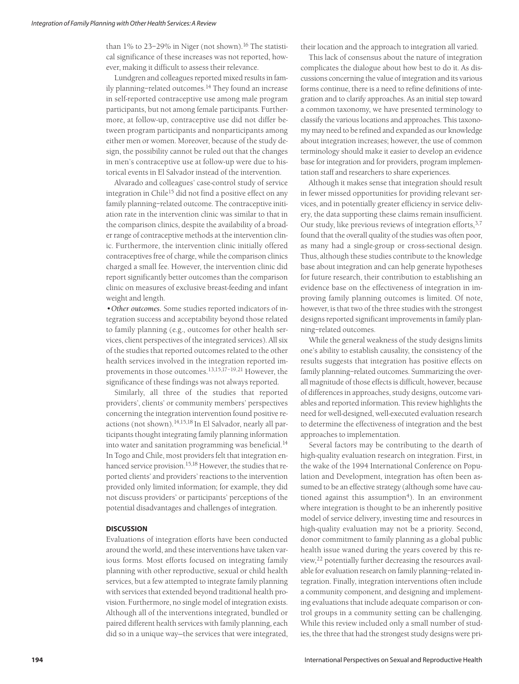than  $1\%$  to 23-29% in Niger (not shown).<sup>16</sup> The statistical significance of these increases was not reported, however, making it difficult to assess their relevance.

Lundgren and colleagues reported mixed results in family planning–related outcomes.<sup>14</sup> They found an increase in self-reported contraceptive use among male program participants, but not among female participants. Furthermore, at follow-up, contraceptive use did not differ between program participants and nonparticipants among either men or women. Moreover, because of the study design, the possibility cannot be ruled out that the changes in men's contraceptive use at follow-up were due to historical events in El Salvador instead of the intervention.

Alvarado and colleagues' case-control study of service integration in Chile<sup>15</sup> did not find a positive effect on any family planning–related outcome. The contraceptive initiation rate in the intervention clinic was similar to that in the comparison clinics, despite the availability of a broader range of contraceptive methods at the intervention clinic. Furthermore, the intervention clinic initially offered contraceptives free of charge, while the comparison clinics charged a small fee. However, the intervention clinic did report significantly better outcomes than the comparison clinic on measures of exclusive breast-feeding and infant weight and length.

*•Other outcomes.* Some studies reported indicators of integration success and acceptability beyond those related to family planning (e.g., outcomes for other health services, client perspectives of the integrated services). All six of the studies that reported outcomes related to the other health services involved in the integration reported improvements in those outcomes.13,15,17–19,21 However, the significance of these findings was not always reported.

Similarly, all three of the studies that reported providers', clients' or community members' perspectives concerning the integration intervention found positive reactions (not shown).14,15,18 In El Salvador, nearly all participants thought integrating family planning information into water and sanitation programming was beneficial.<sup>14</sup> In Togo and Chile, most providers felt that integration enhanced service provision.<sup>15,18</sup> However, the studies that reported clients' and providers' reactions to the intervention provided only limited information; for example, they did not discuss providers' or participants' perceptions of the potential disadvantages and challenges of integration.

## **DISCUSSION**

Evaluations of integration efforts have been conducted around the world, and these interventions have taken various forms. Most efforts focused on integrating family planning with other reproductive, sexual or child health services, but a few attempted to integrate family planning with services that extended beyond traditional health provision. Furthermore, no single model of integration exists. Although all of the interventions integrated, bundled or paired different health services with family planning, each did so in a unique way—the services that were integrated, their location and the approach to integration all varied.

This lack of consensus about the nature of integration complicates the dialogue about how best to do it. As discussions concerning the value of integration and its various forms continue, there is a need to refine definitions of integration and to clarify approaches. As an initial step toward a common taxonomy, we have presented terminology to classify the various locations and approaches. This taxonomy may need to be refined and expanded as our knowledge about integration increases; however, the use of common terminology should make it easier to develop an evidence base for integration and for providers, program implementation staff and researchers to share experiences.

Although it makes sense that integration should result in fewer missed opportunities for providing relevant services, and in potentially greater efficiency in service delivery, the data supporting these claims remain insufficient. Our study, like previous reviews of integration efforts, 3,7 found that the overall quality of the studies was often poor, as many had a single-group or cross-sectional design. Thus, although these studies contribute to the knowledge base about integration and can help generate hypotheses for future research, their contribution to establishing an evidence base on the effectiveness of integration in improving family planning outcomes is limited. Of note, however, is that two of the three studies with the strongest designs reported significant improvements in family planning–related outcomes.

While the general weakness of the study designs limits one's ability to establish causality, the consistency of the results suggests that integration has positive effects on family planning–related outcomes. Summarizing the overall magnitude of those effects is difficult, however, because of differences in approaches, study designs, outcome variables and reported information. This review highlights the need for well-designed, well-executed evaluation research to determine the effectiveness of integration and the best approaches to implementation.

Several factors may be contributing to the dearth of high-quality evaluation research on integration. First, in the wake of the 1994 International Conference on Population and Development, integration has often been assumed to be an effective strategy (although some have cautioned against this assumption<sup>4</sup>). In an environment where integration is thought to be an inherently positive model of service delivery, investing time and resources in high-quality evaluation may not be a priority. Second, donor commitment to family planning as a global public health issue waned during the years covered by this review,<sup>22</sup> potentially further decreasing the resources available for evaluation research on family planning–related integration. Finally, integration interventions often include a community component, and designing and implementing evaluations that include adequate comparison or control groups in a community setting can be challenging. While this review included only a small number of studies, the three that had the strongest study designs were pri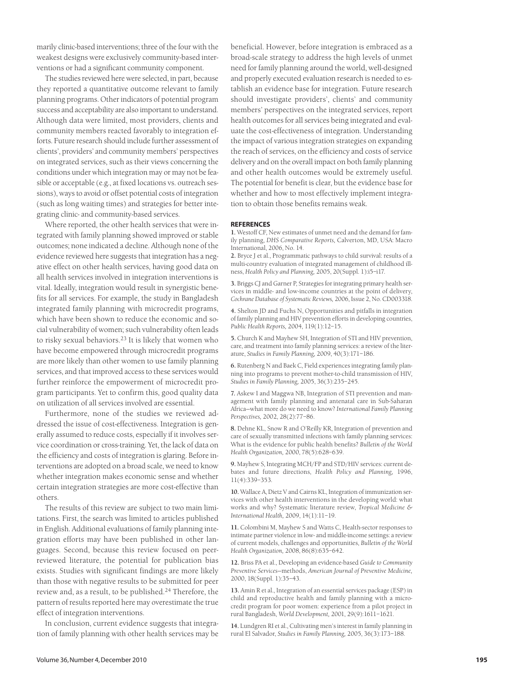marily clinic-based interventions; three of the four with the weakest designs were exclusively community-based interventions or had a significant community component.

The studies reviewed here were selected, in part, because they reported a quantitative outcome relevant to family planning programs. Other indicators of potential program success and acceptability are also important to understand. Although data were limited, most providers, clients and community members reacted favorably to integration efforts. Future research should include further assessment of clients', providers' and community members' perspectives on integrated services, such as their views concerning the conditions under which integration may or may not be feasible or acceptable (e.g., at fixed locations vs. outreach sessions), ways to avoid or offset potential costs of integration (such as long waiting times) and strategies for better integrating clinic- and community-based services.

Where reported, the other health services that were integrated with family planning showed improved or stable outcomes; none indicated a decline. Although none of the evidence reviewed here suggests that integration has a negative effect on other health services, having good data on all health services involved in integration interventions is vital. Ideally, integration would result in synergistic benefits for all services. For example, the study in Bangladesh integrated family planning with microcredit programs, which have been shown to reduce the economic and social vulnerability of women; such vulnerability often leads to risky sexual behaviors.<sup>23</sup> It is likely that women who have become empowered through microcredit programs are more likely than other women to use family planning services, and that improved access to these services would further reinforce the empowerment of microcredit program participants. Yet to confirm this, good quality data on utilization of all services involved are essential.

Furthermore, none of the studies we reviewed addressed the issue of cost-effectiveness. Integration is generally assumed to reduce costs, especially if it involves service coordination or cross-training. Yet, the lack of data on the efficiency and costs of integration is glaring. Before interventions are adopted on a broad scale, we need to know whether integration makes economic sense and whether certain integration strategies are more cost-effective than others.

The results of this review are subject to two main limitations. First, the search was limited to articles published in English. Additional evaluations of family planning integration efforts may have been published in other languages. Second, because this review focused on peerreviewed literature, the potential for publication bias exists. Studies with significant findings are more likely than those with negative results to be submitted for peer review and, as a result, to be published.<sup>24</sup> Therefore, the pattern of results reported here may overestimate the true effect of integration interventions.

In conclusion, current evidence suggests that integration of family planning with other health services may be

beneficial. However, before integration is embraced as a broad-scale strategy to address the high levels of unmet need for family planning around the world, well-designed and properly executed evaluation research is needed to establish an evidence base for integration. Future research should investigate providers', clients' and community members' perspectives on the integrated services, report health outcomes for all services being integrated and evaluate the cost-effectiveness of integration. Understanding the impact of various integration strategies on expanding the reach of services, on the efficiency and costs of service delivery and on the overall impact on both family planning and other health outcomes would be extremely useful. The potential for benefit is clear, but the evidence base for whether and how to most effectively implement integration to obtain those benefits remains weak.

#### **REFERENCES**

**1.** Westoff CF, New estimates of unmet need and the demand for family planning, *DHS Comparative Reports,* Calverton, MD, USA: Macro International, 2006, No. 14.

**2.** Bryce J et al., Programmatic pathways to child survival: results of a multi-country evaluation of integrated management of childhood illness, *Health Policy and Planning,* 2005, 20(Suppl. 1):i5–i17.

**3.** Briggs CJ and Garner P, Strategies for integrating primary health services in middle- and low-income countries at the point of delivery, *Cochrane Database of Systematic Reviews,* 2006, Issue 2, No. CD003318.

**4.** Shelton JD and Fuchs N, Opportunities and pitfalls in integration of family planning and HIV prevention efforts in developing countries, *Public Health Reports,* 2004, 119(1):12–15.

**5.** Church K and Mayhew SH, Integration of STI and HIV prevention, care, and treatment into family planning services: a review of the literature, *Studies in Family Planning,* 2009, 40(3):171–186.

**6.** Rutenberg N and Baek C, Field experiences integrating family planning into programs to prevent mother-to-child transmission of HIV, *Studies in Family Planning,* 2005, 36(3):235–245.

**7.** Askew I and Maggwa NB, Integration of STI prevention and management with family planning and antenatal care in Sub-Saharan Africa—what more do we need to know? *International Family Planning Perspectives,* 2002, 28(2):77–86.

**8.** Dehne KL, Snow R and O'Reilly KR, Integration of prevention and care of sexually transmitted infections with family planning services: What is the evidence for public health benefits? *Bulletin of the World Health Organization,* 2000, 78(5):628–639.

**9.** Mayhew S, Integrating MCH/FP and STD/HIV services: current debates and future directions, *Health Policy and Planning,* 1996, 11(4):339–353.

**10.** Wallace A, Dietz V and Cairns KL, Integration of immunization services with other health interventions in the developing world: what works and why? Systematic literature review, *Tropical Medicine & International Health,* 2009, 14(1):11–19.

**11.** Colombini M, Mayhew S and Watts C, Health-sector responses to intimate partner violence in low- and middle-income settings: a review of current models, challenges and opportunities, *Bulletin of the World Health Organization,* 2008, 86(8):635–642.

**12.** Briss PA et al., Developing an evidence-based *Guide to Community Preventive Services*—methods, *American Journal of Preventive Medicine,* 2000, 18(Suppl. 1):35–43.

**13.** Amin R et al., Integration of an essential services package (ESP) in child and reproductive health and family planning with a microcredit program for poor women: experience from a pilot project in rural Bangladesh, *World Development,* 2001, 29(9):1611–1621.

**14.** Lundgren RI et al., Cultivating men's interest in family planning in rural El Salvador, *Studies in Family Planning,* 2005, 36(3):173–188.